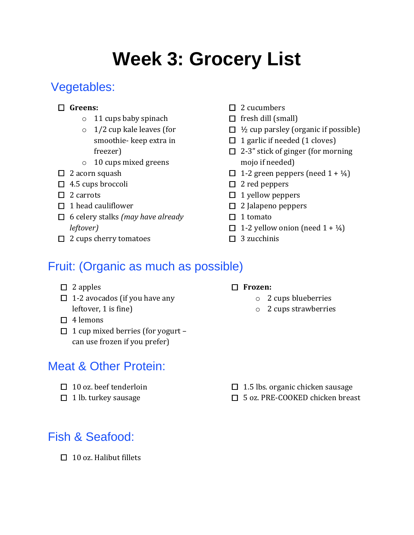# **Week 3: Grocery List**

## Vegetables:

#### **Greens:**

- o 11 cups baby spinach
- o 1/2 cup kale leaves (for smoothie- keep extra in freezer)
- o 10 cups mixed greens
- $\Box$  2 acorn squash
- $\Box$  4.5 cups broccoli
- $\Box$  2 carrots
- $\Box$  1 head cauliflower
- 6 celery stalks *(may have already leftover)*
- $\Box$  2 cups cherry tomatoes
- $\square$  2 cucumbers
- $\Box$  fresh dill (small)
- $\Box$  1/2 cup parsley (organic if possible)
- $\Box$  1 garlic if needed (1 cloves)
- $\Box$  2-3" stick of ginger (for morning mojo if needed)
- $\Box$  1-2 green peppers (need 1 +  $\frac{1}{4}$ )
- $\square$  2 red peppers
- $\Box$  1 yellow peppers
- $\Box$  2 Jalapeno peppers
- $\Box$  1 tomato
- $\Box$  1-2 yellow onion (need 1 +  $\frac{1}{4}$ )
- $\Box$  3 zucchinis

### Fruit: (Organic as much as possible)

- $\Box$  2 apples
- $\Box$  1-2 avocados (if you have any leftover, 1 is fine)
- $\Box$  4 lemons
- $\Box$  1 cup mixed berries (for yogurt can use frozen if you prefer)

### Meat & Other Protein:

- $\Box$  10 oz. beef tenderloin
- $\Box$  1 lb. turkey sausage

# Fish & Seafood:

 $\Box$  10 oz. Halibut fillets

#### **Frozen:**

- o 2 cups blueberries
- o 2 cups strawberries

- $\Box$  1.5 lbs. organic chicken sausage
- □ 5 oz. PRE-COOKED chicken breast